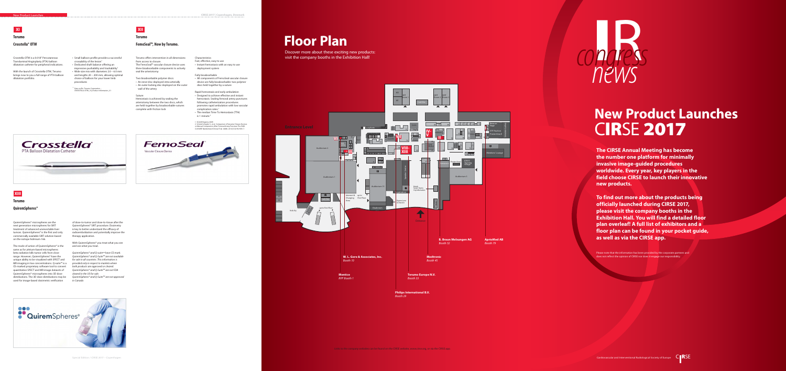# Terumo<br>Crosstella® OTW Plann Plann FemoSeal™, Now by Terumo.

# **New Product Launches** C**IR**SE **2017** New Pr





**The CIRSE Annual Meeting has become the number one platform for minimally invasive image-guided procedures worldwide. Every year, key players in the field choose CIRSE to launch their innovative new products.**

**To find out more about the products being officially launched during CIRSE 2017, please visit the company booths in the Exhibition Hall. You will find a detailed floor plan overleaf! A full list of exhibitors and a floor plan can be found in your pocket guide, as well as via the CIRSE app.**

Please note that the information has been provided by the corporate partners and does not reflect the opinion of CIRSE nor does it engage our responsibility.

Discover more about these exciting new products: visit the company booths in the Exhibition Hall!

The mode of action of QuiremSpheres® is the same as for yttrium-based microspheres: beta radiation kills tumor cells from close range. However, QuiremSpheres® have the unique ability to be visualized with SPECT and MR imaging in low concentrations. Q-suite™ is a CE-marked proprietary software tool to convert quantitative SPECT and MR image datasets of QuiremSpheres® microspheres into 3D dose used for image-based dosimetric verification *in Canada* 

Crosstella OTW is a 0.018" Percutaneous Transluminal Angioplasty (PTA) balloon dilatation catheter for peripheral indications.

With the launch of Crosstella OTW, Terumo brings now to you a full range of PTA balloon dilatation portfolio.

crossability of the lesion<sup>1</sup> • Dedicated shaft balance offering an impressive pushability and trackability $1$ 

- Small balloon profile provides a successful
- 
- Wide size mix with diameters 2.0 6.0 mm and lengths 20 – 200 mm, allowing optimal choice of balloon for your lower limb

<sup>1</sup> Data on file. Terumo Corporation –<br>CROSSTELLA OTW\_18\_Product Information\_V1

distributions. The 3D dose distributions may be QuiremSpheres® and Q-Suite<sup>™</sup> are not approved QuiremSpheres® and Q-suite<sup>™</sup> have CE-mark. QuiremSpheres® and Q-Suite<sup>™</sup> are not available for sale in all countries. This information is provided only in respect to markets where both products are approved or cleared. QuiremSpheres® and Q-Suite<sup>™</sup> are not FDA cleared in the US for sale.



procedures

### **Crosstella® OTW**

# **XI**

### **Terumo**

QuiremSpheres® microspheres are the next generation microspheres for SIRT treatment of advanced unresectable liver tumors. QuiremSpheres® is the first and only commercially available SIRT solution based on the isotope holmium-166.

of dose-to-tumor and dose-to-tissue after the QuiremSpheres® SIRT procedure. Dosimetry is key to better understand the efficacy of radioembolization and potentially improve the therapy application.

With QuiremSpheres® you treat what you see and see what you treat.

### **QuiremSpheres®**





**Terumo**

### **FemoSeal™, Now by Terumo.**

**XII**

Terumo offers intervention in all dimensions: from access to closure. The FemoSeal™ vascular closure device uses three bioabsorbable components to actively seal the arteriotomy:

Two bioabsorbable polymer discs:

• An inner disc deployed intra-arterially • An outer locking disc deployed on the outer wall of the artery

Suture:

Hemostasis is achieved by sealing the arteriotomy between the two discs, which are held together by bioabsorbable sutures complete with friction lock

### Characteristics

- Fast, effective, easy to use
- Instant hemostasis with an easy to use deployment system

### Fully bioabsorbable

- All components of FemoSeal vascular closure device are fully bioabsorbable: two polymer discs held together by a suture
- Rapid hemostasis and early ambulation • Designed to achieve effective and instant hemostasis. Sealing femoral artery punctures following catheterization procedures promotes rapid ambulation with low vascular complication rates.<sup>1</sup>
- The median Time To Hemostasis (TTH) is 1 minute.<sup>2</sup>
- 1 SCAAR Registry 2009. 2 Schulz-Schupke S., et al. Comparison of Vascular Closure Devices vs Manual Compression After Femoral Artery Puncture The ISAR-CLOSURE Randomized Clinical Trial. JAMA. 2014;312(19):1981-7.